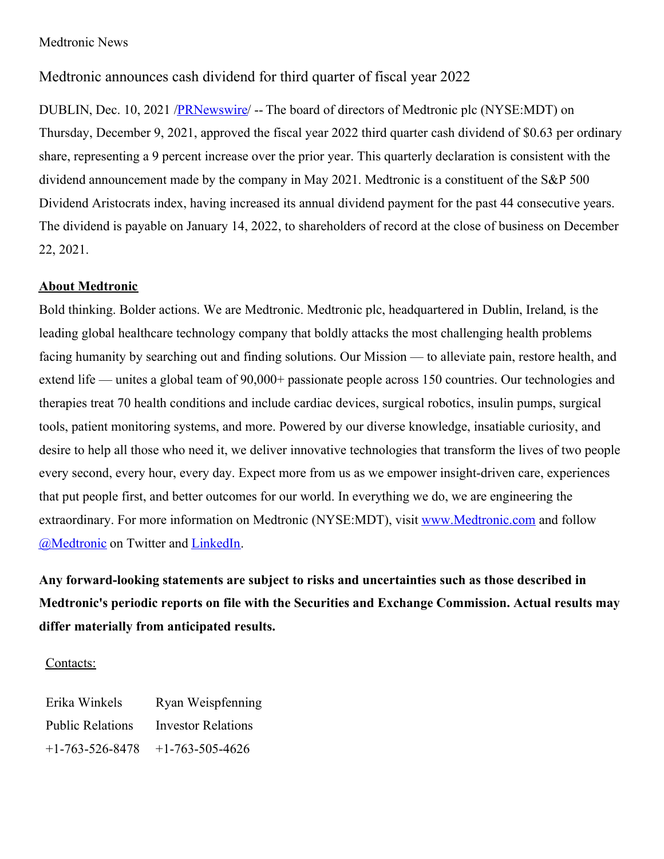## Medtronic News

## Medtronic announces cash dividend for third quarter of fiscal year 2022

DUBLIN, Dec. 10, 2021 [/PRNewswire](http://www.prnewswire.com/)/ -- The board of directors of Medtronic plc (NYSE:MDT) on Thursday, December 9, 2021, approved the fiscal year 2022 third quarter cash dividend of \$0.63 per ordinary share, representing a 9 percent increase over the prior year. This quarterly declaration is consistent with the dividend announcement made by the company in May 2021. Medtronic is a constituent of the S&P 500 Dividend Aristocrats index, having increased its annual dividend payment for the past 44 consecutive years. The dividend is payable on January 14, 2022, to shareholders of record at the close of business on December 22, 2021.

## **About Medtronic**

Bold thinking. Bolder actions. We are Medtronic. Medtronic plc, headquartered in Dublin, Ireland, is the leading global healthcare technology company that boldly attacks the most challenging health problems facing humanity by searching out and finding solutions. Our Mission — to alleviate pain, restore health, and extend life — unites a global team of 90,000+ passionate people across 150 countries. Our technologies and therapies treat 70 health conditions and include cardiac devices, surgical robotics, insulin pumps, surgical tools, patient monitoring systems, and more. Powered by our diverse knowledge, insatiable curiosity, and desire to help all those who need it, we deliver innovative technologies that transform the lives of two people every second, every hour, every day. Expect more from us as we empower insight-driven care, experiences that put people first, and better outcomes for our world. In everything we do, we are engineering the extraordinary. For more information on Medtronic (NYSE:MDT), visit [www.Medtronic.com](https://c212.net/c/link/?t=0&l=en&o=3385885-1&h=3507026687&u=http%3A%2F%2Fwww.medtronic.com%2F&a=www.Medtronic.com) and follow [@Medtronic](https://c212.net/c/link/?t=0&l=en&o=3385885-1&h=1900442937&u=https%3A%2F%2Ftwitter.com%2Fmedtronic&a=%40Medtronic) on Twitter and [LinkedIn](https://c212.net/c/link/?t=0&l=en&o=3385885-1&h=1814600348&u=https%3A%2F%2Fwww.linkedin.com%2Fcompany%2Fmedtronic&a=LinkedIn).

**Any forward-looking statements are subject to risks and uncertainties such as those described in Medtronic's periodic reports on file with the Securities and Exchange Commission. Actual results may differ materially from anticipated results.**

## Contacts:

| Erika Winkels           | Ryan Weispfenning         |
|-------------------------|---------------------------|
| <b>Public Relations</b> | <b>Investor Relations</b> |
| $+1 - 763 - 526 - 8478$ | $+1-763-505-4626$         |